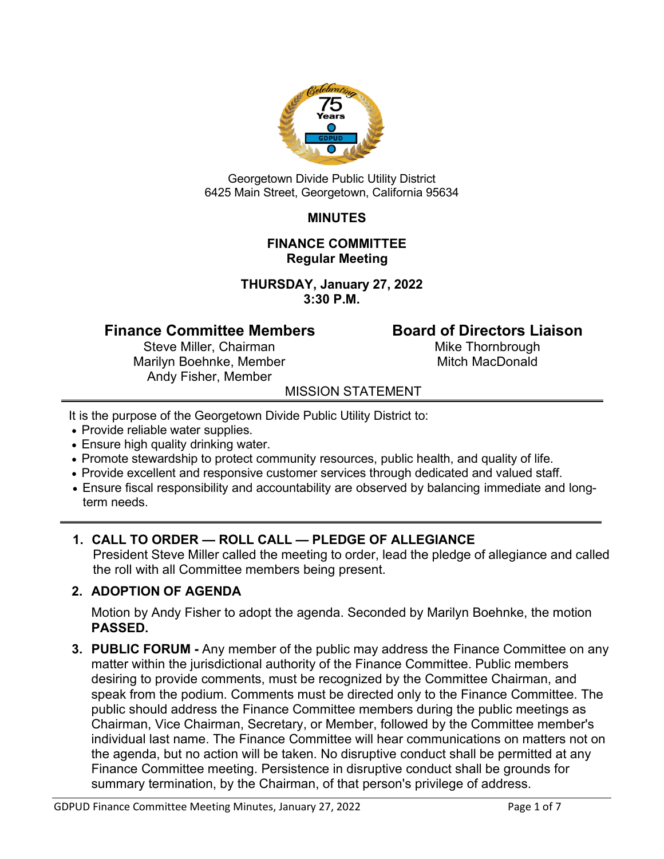

Georgetown Divide Public Utility District 6425 Main Street, Georgetown, California 95634

## **MINUTES**

#### **FINANCE COMMITTEE Regular Meeting**

**THURSDAY, January 27, 2022 3:30 P.M.**

# **Finance Committee Members Board of Directors Liaison**<br>Steve Miller, Chairman **Board Mike Thornbrough**

Steve Miller, Chairman Marilyn Boehnke, Member Mitch MacDonald Andy Fisher, Member

## MISSION STATEMENT

It is the purpose of the Georgetown Divide Public Utility District to:

- Provide reliable water supplies.
- Ensure high quality drinking water.
- Promote stewardship to protect community resources, public health, and quality of life.
- Provide excellent and responsive customer services through dedicated and valued staff.
- Ensure fiscal responsibility and accountability are observed by balancing immediate and longterm needs.

## **1. CALL TO ORDER — ROLL CALL — PLEDGE OF ALLEGIANCE**

President Steve Miller called the meeting to order, lead the pledge of allegiance and called the roll with all Committee members being present.

## **2. ADOPTION OF AGENDA**

Motion by Andy Fisher to adopt the agenda. Seconded by Marilyn Boehnke, the motion **PASSED.** 

**3. PUBLIC FORUM -** Any member of the public may address the Finance Committee on any matter within the jurisdictional authority of the Finance Committee. Public members desiring to provide comments, must be recognized by the Committee Chairman, and speak from the podium. Comments must be directed only to the Finance Committee. The public should address the Finance Committee members during the public meetings as Chairman, Vice Chairman, Secretary, or Member, followed by the Committee member's individual last name. The Finance Committee will hear communications on matters not on the agenda, but no action will be taken. No disruptive conduct shall be permitted at any Finance Committee meeting. Persistence in disruptive conduct shall be grounds for summary termination, by the Chairman, of that person's privilege of address.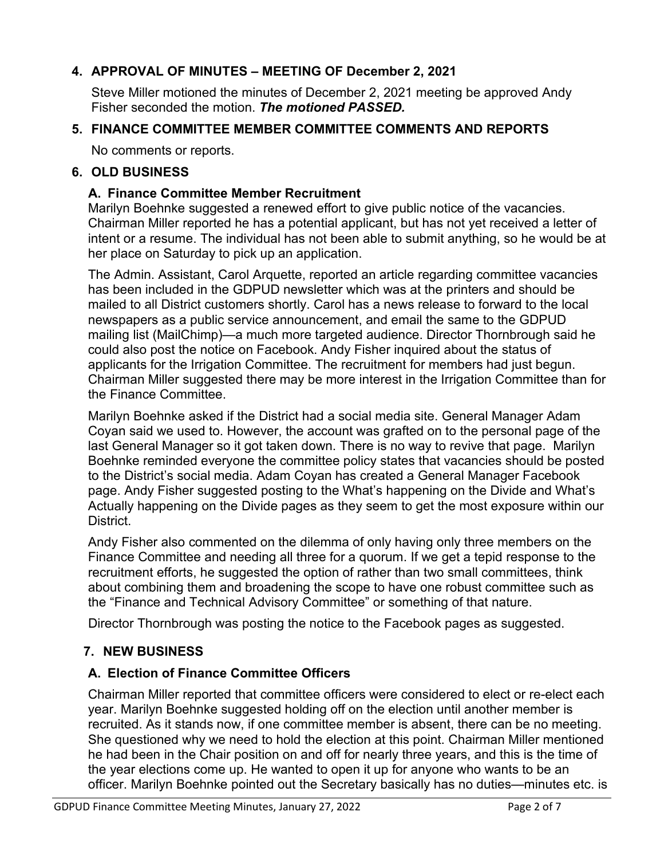## **4. APPROVAL OF MINUTES – MEETING OF December 2, 2021**

Steve Miller motioned the minutes of December 2, 2021 meeting be approved Andy Fisher seconded the motion. *The motioned PASSED.*

#### **5. FINANCE COMMITTEE MEMBER COMMITTEE COMMENTS AND REPORTS**

No comments or reports.

#### **6. OLD BUSINESS**

#### **A. Finance Committee Member Recruitment**

Marilyn Boehnke suggested a renewed effort to give public notice of the vacancies. Chairman Miller reported he has a potential applicant, but has not yet received a letter of intent or a resume. The individual has not been able to submit anything, so he would be at her place on Saturday to pick up an application.

The Admin. Assistant, Carol Arquette, reported an article regarding committee vacancies has been included in the GDPUD newsletter which was at the printers and should be mailed to all District customers shortly. Carol has a news release to forward to the local newspapers as a public service announcement, and email the same to the GDPUD mailing list (MailChimp)—a much more targeted audience. Director Thornbrough said he could also post the notice on Facebook. Andy Fisher inquired about the status of applicants for the Irrigation Committee. The recruitment for members had just begun. Chairman Miller suggested there may be more interest in the Irrigation Committee than for the Finance Committee.

Marilyn Boehnke asked if the District had a social media site. General Manager Adam Coyan said we used to. However, the account was grafted on to the personal page of the last General Manager so it got taken down. There is no way to revive that page. Marilyn Boehnke reminded everyone the committee policy states that vacancies should be posted to the District's social media. Adam Coyan has created a General Manager Facebook page. Andy Fisher suggested posting to the What's happening on the Divide and What's Actually happening on the Divide pages as they seem to get the most exposure within our District.

Andy Fisher also commented on the dilemma of only having only three members on the Finance Committee and needing all three for a quorum. If we get a tepid response to the recruitment efforts, he suggested the option of rather than two small committees, think about combining them and broadening the scope to have one robust committee such as the "Finance and Technical Advisory Committee" or something of that nature.

Director Thornbrough was posting the notice to the Facebook pages as suggested.

## **7. NEW BUSINESS**

#### **A. Election of Finance Committee Officers**

Chairman Miller reported that committee officers were considered to elect or re-elect each year. Marilyn Boehnke suggested holding off on the election until another member is recruited. As it stands now, if one committee member is absent, there can be no meeting. She questioned why we need to hold the election at this point. Chairman Miller mentioned he had been in the Chair position on and off for nearly three years, and this is the time of the year elections come up. He wanted to open it up for anyone who wants to be an officer. Marilyn Boehnke pointed out the Secretary basically has no duties—minutes etc. is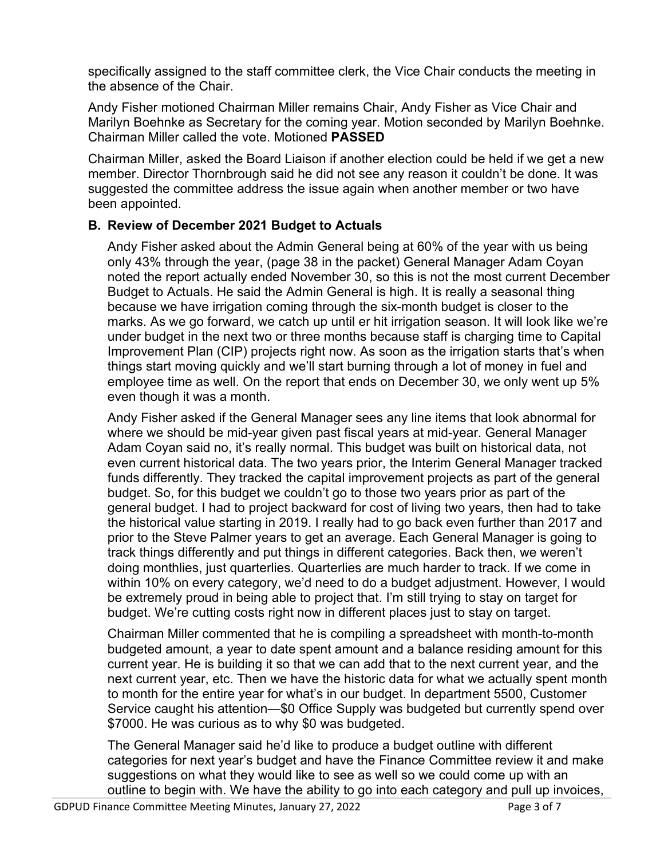specifically assigned to the staff committee clerk, the Vice Chair conducts the meeting in the absence of the Chair.

Andy Fisher motioned Chairman Miller remains Chair, Andy Fisher as Vice Chair and Marilyn Boehnke as Secretary for the coming year. Motion seconded by Marilyn Boehnke. Chairman Miller called the vote. Motioned **PASSED**

Chairman Miller, asked the Board Liaison if another election could be held if we get a new member. Director Thornbrough said he did not see any reason it couldn't be done. It was suggested the committee address the issue again when another member or two have been appointed.

## **B. Review of December 2021 Budget to Actuals**

Andy Fisher asked about the Admin General being at 60% of the year with us being only 43% through the year, (page 38 in the packet) General Manager Adam Coyan noted the report actually ended November 30, so this is not the most current December Budget to Actuals. He said the Admin General is high. It is really a seasonal thing because we have irrigation coming through the six-month budget is closer to the marks. As we go forward, we catch up until er hit irrigation season. It will look like we're under budget in the next two or three months because staff is charging time to Capital Improvement Plan (CIP) projects right now. As soon as the irrigation starts that's when things start moving quickly and we'll start burning through a lot of money in fuel and employee time as well. On the report that ends on December 30, we only went up 5% even though it was a month.

Andy Fisher asked if the General Manager sees any line items that look abnormal for where we should be mid-year given past fiscal years at mid-year. General Manager Adam Coyan said no, it's really normal. This budget was built on historical data, not even current historical data. The two years prior, the Interim General Manager tracked funds differently. They tracked the capital improvement projects as part of the general budget. So, for this budget we couldn't go to those two years prior as part of the general budget. I had to project backward for cost of living two years, then had to take the historical value starting in 2019. I really had to go back even further than 2017 and prior to the Steve Palmer years to get an average. Each General Manager is going to track things differently and put things in different categories. Back then, we weren't doing monthlies, just quarterlies. Quarterlies are much harder to track. If we come in within 10% on every category, we'd need to do a budget adjustment. However, I would be extremely proud in being able to project that. I'm still trying to stay on target for budget. We're cutting costs right now in different places just to stay on target.

Chairman Miller commented that he is compiling a spreadsheet with month-to-month budgeted amount, a year to date spent amount and a balance residing amount for this current year. He is building it so that we can add that to the next current year, and the next current year, etc. Then we have the historic data for what we actually spent month to month for the entire year for what's in our budget. In department 5500, Customer Service caught his attention—\$0 Office Supply was budgeted but currently spend over \$7000. He was curious as to why \$0 was budgeted.

The General Manager said he'd like to produce a budget outline with different categories for next year's budget and have the Finance Committee review it and make suggestions on what they would like to see as well so we could come up with an outline to begin with. We have the ability to go into each category and pull up invoices,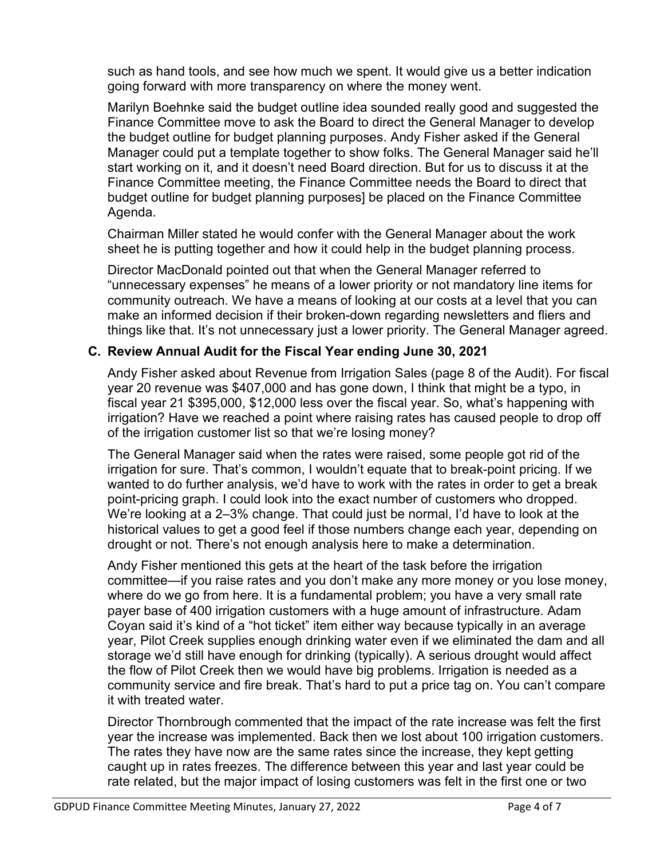such as hand tools, and see how much we spent. It would give us a better indication going forward with more transparency on where the money went.

Marilyn Boehnke said the budget outline idea sounded really good and suggested the Finance Committee move to ask the Board to direct the General Manager to develop the budget outline for budget planning purposes. Andy Fisher asked if the General Manager could put a template together to show folks. The General Manager said he'll start working on it, and it doesn't need Board direction. But for us to discuss it at the Finance Committee meeting, the Finance Committee needs the Board to direct that budget outline for budget planning purposes] be placed on the Finance Committee Agenda.

Chairman Miller stated he would confer with the General Manager about the work sheet he is putting together and how it could help in the budget planning process.

Director MacDonald pointed out that when the General Manager referred to "unnecessary expenses" he means of a lower priority or not mandatory line items for community outreach. We have a means of looking at our costs at a level that you can make an informed decision if their broken-down regarding newsletters and fliers and things like that. It's not unnecessary just a lower priority. The General Manager agreed.

### **C. Review Annual Audit for the Fiscal Year ending June 30, 2021**

Andy Fisher asked about Revenue from Irrigation Sales (page 8 of the Audit). For fiscal year 20 revenue was \$407,000 and has gone down, I think that might be a typo, in fiscal year 21 \$395,000, \$12,000 less over the fiscal year. So, what's happening with irrigation? Have we reached a point where raising rates has caused people to drop off of the irrigation customer list so that we're losing money?

The General Manager said when the rates were raised, some people got rid of the irrigation for sure. That's common, I wouldn't equate that to break-point pricing. If we wanted to do further analysis, we'd have to work with the rates in order to get a break point-pricing graph. I could look into the exact number of customers who dropped. We're looking at a 2–3% change. That could just be normal, I'd have to look at the historical values to get a good feel if those numbers change each year, depending on drought or not. There's not enough analysis here to make a determination.

Andy Fisher mentioned this gets at the heart of the task before the irrigation committee—if you raise rates and you don't make any more money or you lose money, where do we go from here. It is a fundamental problem; you have a very small rate payer base of 400 irrigation customers with a huge amount of infrastructure. Adam Coyan said it's kind of a "hot ticket" item either way because typically in an average year, Pilot Creek supplies enough drinking water even if we eliminated the dam and all storage we'd still have enough for drinking (typically). A serious drought would affect the flow of Pilot Creek then we would have big problems. Irrigation is needed as a community service and fire break. That's hard to put a price tag on. You can't compare it with treated water.

Director Thornbrough commented that the impact of the rate increase was felt the first year the increase was implemented. Back then we lost about 100 irrigation customers. The rates they have now are the same rates since the increase, they kept getting caught up in rates freezes. The difference between this year and last year could be rate related, but the major impact of losing customers was felt in the first one or two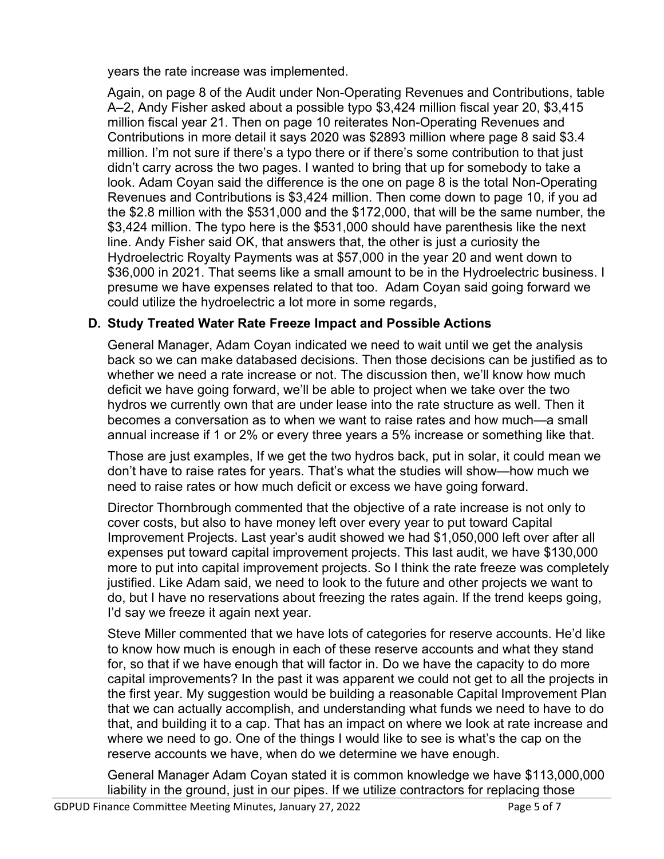years the rate increase was implemented.

Again, on page 8 of the Audit under Non-Operating Revenues and Contributions, table A–2, Andy Fisher asked about a possible typo \$3,424 million fiscal year 20, \$3,415 million fiscal year 21. Then on page 10 reiterates Non-Operating Revenues and Contributions in more detail it says 2020 was \$2893 million where page 8 said \$3.4 million. I'm not sure if there's a typo there or if there's some contribution to that just didn't carry across the two pages. I wanted to bring that up for somebody to take a look. Adam Coyan said the difference is the one on page 8 is the total Non-Operating Revenues and Contributions is \$3,424 million. Then come down to page 10, if you ad the \$2.8 million with the \$531,000 and the \$172,000, that will be the same number, the \$3,424 million. The typo here is the \$531,000 should have parenthesis like the next line. Andy Fisher said OK, that answers that, the other is just a curiosity the Hydroelectric Royalty Payments was at \$57,000 in the year 20 and went down to \$36,000 in 2021. That seems like a small amount to be in the Hydroelectric business. I presume we have expenses related to that too. Adam Coyan said going forward we could utilize the hydroelectric a lot more in some regards,

## **D. Study Treated Water Rate Freeze Impact and Possible Actions**

General Manager, Adam Coyan indicated we need to wait until we get the analysis back so we can make databased decisions. Then those decisions can be justified as to whether we need a rate increase or not. The discussion then, we'll know how much deficit we have going forward, we'll be able to project when we take over the two hydros we currently own that are under lease into the rate structure as well. Then it becomes a conversation as to when we want to raise rates and how much—a small annual increase if 1 or 2% or every three years a 5% increase or something like that.

Those are just examples, If we get the two hydros back, put in solar, it could mean we don't have to raise rates for years. That's what the studies will show—how much we need to raise rates or how much deficit or excess we have going forward.

Director Thornbrough commented that the objective of a rate increase is not only to cover costs, but also to have money left over every year to put toward Capital Improvement Projects. Last year's audit showed we had \$1,050,000 left over after all expenses put toward capital improvement projects. This last audit, we have \$130,000 more to put into capital improvement projects. So I think the rate freeze was completely justified. Like Adam said, we need to look to the future and other projects we want to do, but I have no reservations about freezing the rates again. If the trend keeps going, I'd say we freeze it again next year.

Steve Miller commented that we have lots of categories for reserve accounts. He'd like to know how much is enough in each of these reserve accounts and what they stand for, so that if we have enough that will factor in. Do we have the capacity to do more capital improvements? In the past it was apparent we could not get to all the projects in the first year. My suggestion would be building a reasonable Capital Improvement Plan that we can actually accomplish, and understanding what funds we need to have to do that, and building it to a cap. That has an impact on where we look at rate increase and where we need to go. One of the things I would like to see is what's the cap on the reserve accounts we have, when do we determine we have enough.

General Manager Adam Coyan stated it is common knowledge we have \$113,000,000 liability in the ground, just in our pipes. If we utilize contractors for replacing those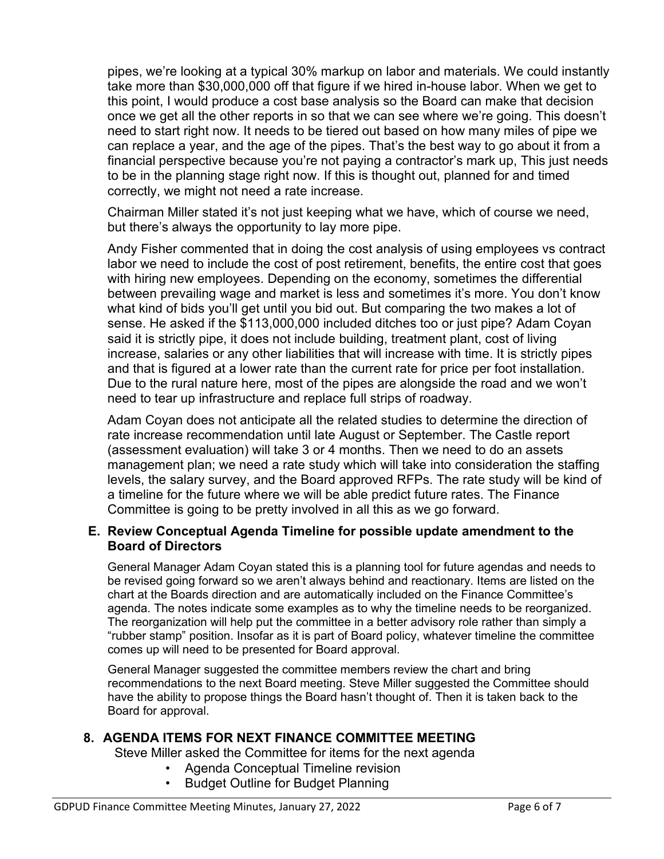pipes, we're looking at a typical 30% markup on labor and materials. We could instantly take more than \$30,000,000 off that figure if we hired in-house labor. When we get to this point, I would produce a cost base analysis so the Board can make that decision once we get all the other reports in so that we can see where we're going. This doesn't need to start right now. It needs to be tiered out based on how many miles of pipe we can replace a year, and the age of the pipes. That's the best way to go about it from a financial perspective because you're not paying a contractor's mark up, This just needs to be in the planning stage right now. If this is thought out, planned for and timed correctly, we might not need a rate increase.

Chairman Miller stated it's not just keeping what we have, which of course we need, but there's always the opportunity to lay more pipe.

Andy Fisher commented that in doing the cost analysis of using employees vs contract labor we need to include the cost of post retirement, benefits, the entire cost that goes with hiring new employees. Depending on the economy, sometimes the differential between prevailing wage and market is less and sometimes it's more. You don't know what kind of bids you'll get until you bid out. But comparing the two makes a lot of sense. He asked if the \$113,000,000 included ditches too or just pipe? Adam Coyan said it is strictly pipe, it does not include building, treatment plant, cost of living increase, salaries or any other liabilities that will increase with time. It is strictly pipes and that is figured at a lower rate than the current rate for price per foot installation. Due to the rural nature here, most of the pipes are alongside the road and we won't need to tear up infrastructure and replace full strips of roadway.

Adam Coyan does not anticipate all the related studies to determine the direction of rate increase recommendation until late August or September. The Castle report (assessment evaluation) will take 3 or 4 months. Then we need to do an assets management plan; we need a rate study which will take into consideration the staffing levels, the salary survey, and the Board approved RFPs. The rate study will be kind of a timeline for the future where we will be able predict future rates. The Finance Committee is going to be pretty involved in all this as we go forward.

#### **E. Review Conceptual Agenda Timeline for possible update amendment to the Board of Directors**

General Manager Adam Coyan stated this is a planning tool for future agendas and needs to be revised going forward so we aren't always behind and reactionary. Items are listed on the chart at the Boards direction and are automatically included on the Finance Committee's agenda. The notes indicate some examples as to why the timeline needs to be reorganized. The reorganization will help put the committee in a better advisory role rather than simply a "rubber stamp" position. Insofar as it is part of Board policy, whatever timeline the committee comes up will need to be presented for Board approval.

General Manager suggested the committee members review the chart and bring recommendations to the next Board meeting. Steve Miller suggested the Committee should have the ability to propose things the Board hasn't thought of. Then it is taken back to the Board for approval.

#### **8. AGENDA ITEMS FOR NEXT FINANCE COMMITTEE MEETING**

Steve Miller asked the Committee for items for the next agenda

- Agenda Conceptual Timeline revision
- Budget Outline for Budget Planning